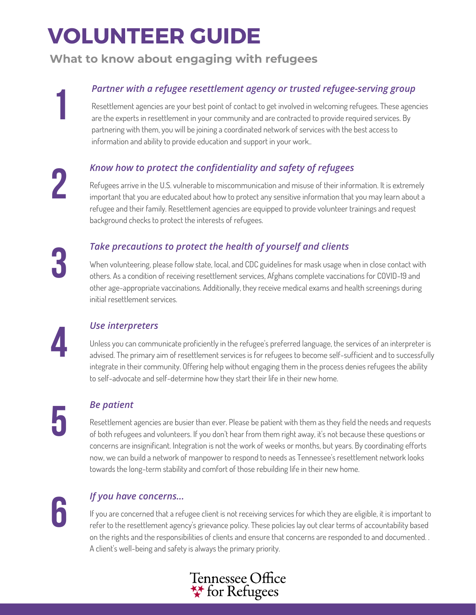# **VOLUNTEER GUIDE**

### **What to know about engaging with refugees**

### *Partner with a refugee resettlement agency or trusted refugee-serving group*

Resettlement agencies are your best point of contact to get involved in welcoming refugees. These agencies are the experts in resettlement in your community and are contracted to provide required services. By partnering with them, you will be joining a coordinated network of services with the best access to information and ability to provide education and support in your work..

*Know how to protect the confidentiality and safety of refugees*

Refugees arrive in the U.S. vulnerable to miscommunication and misuse of their information. It is extremely important that you are educated about how to protect any sensitive information that you may learn about a refugee and their family. Resettlement agencies are equipped to provide volunteer trainings and request background checks to protect the interests of refugees.

# **3**

**1**

**2**

### *Take precautions to protect the health of yourself and clients*

When volunteering, please follow state, local, and CDC guidelines for mask usage when in close contact with others. As a condition of receiving resettlement services, Afghans complete vaccinations for COVID-19 and other age-appropriate vaccinations. Additionally, they receive medical exams and health screenings during initial resettlement services.



### *Use interpreters*

Unless you can communicate proficiently in the refugee 's preferred language, the services of an interpreter is advised. The primary aim of resettlement services is for refugees to become self-sufficient and to successfully integrate in their community. Offering help without engaging them in the process denies refugees the ability to self-advocate and self-determine how they start their life in their new home.

#### *Be patient*

Resettlement agencies are busier than ever. Please be patient with them as they field the needs and requests of both refugees and volunteers. If you don 't hear from them right away, it' s not because these questions or concerns are insignificant. Integration is not the work of weeks or months, but years. By coordinating efforts now, we can build a network of manpower to respond to needs as Tennessee 's resettlement network looks towards the long-term stability and comfort of those rebuilding life in their new home.

**6**

#### *If you have concerns...*

If you are concerned that a refugee client is not receiving services for which they are eligible, it is important to refer to the resettlement agency's grievance policy. These policies lay out clear terms of accountability based on the rights and the responsibilities of clients and ensure that concerns are responded to and documented. . A client' s well-being and safety is always the primary priority.